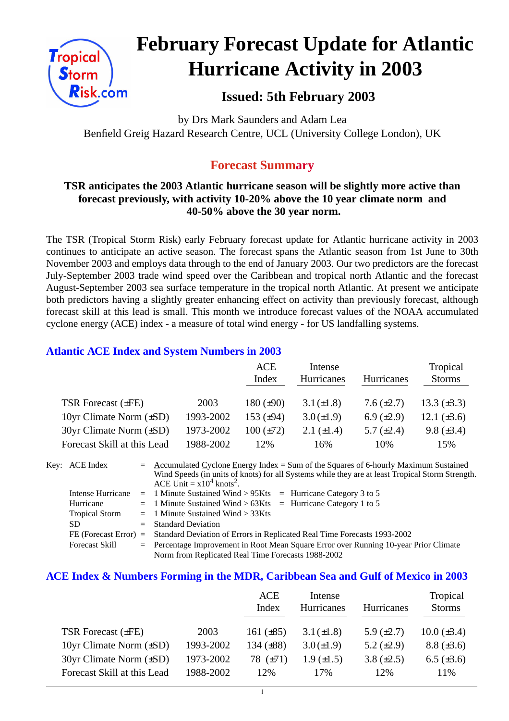

# **February Forecast Update for Atlantic Hurricane Activity in 2003**

## **Issued: 5th February 2003**

by Drs Mark Saunders and Adam Lea Benfield Greig Hazard Research Centre, UCL (University College London), UK

## **Forecast Summary**

#### **TSR anticipates the 2003 Atlantic hurricane season will be slightly more active than forecast previously, with activity 10-20% above the 10 year climate norm and 40-50% above the 30 year norm.**

The TSR (Tropical Storm Risk) early February forecast update for Atlantic hurricane activity in 2003 continues to anticipate an active season. The forecast spans the Atlantic season from 1st June to 30th November 2003 and employs data through to the end of January 2003. Our two predictors are the forecast July-September 2003 trade wind speed over the Caribbean and tropical north Atlantic and the forecast August-September 2003 sea surface temperature in the tropical north Atlantic. At present we anticipate both predictors having a slightly greater enhancing effect on activity than previously forecast, although forecast skill at this lead is small. This month we introduce forecast values of the NOAA accumulated cyclone energy (ACE) index - a measure of total wind energy - for US landfalling systems.

#### **Atlantic ACE Index and System Numbers in 2003**

|                                |           | ACE            | Intense           |                   | Tropical         |
|--------------------------------|-----------|----------------|-------------------|-------------------|------------------|
|                                |           | Index          | <b>Hurricanes</b> | <b>Hurricanes</b> | <b>Storms</b>    |
|                                |           |                |                   |                   |                  |
| TSR Forecast $(\pm FE)$        | 2003      | 180 $(\pm 90)$ | $3.1 (\pm 1.8)$   | 7.6 $(\pm 2.7)$   | 13.3 $(\pm 3.3)$ |
| 10yr Climate Norm $(\pm SD)$   | 1993-2002 | 153 $(\pm 94)$ | $3.0 (\pm 1.9)$   | 6.9 $(\pm 2.9)$   | 12.1 $(\pm 3.6)$ |
| $30yr$ Climate Norm $(\pm SD)$ | 1973-2002 | $100 (\pm 72)$ | 2.1 $(\pm 1.4)$   | 5.7 $(\pm 2.4)$   | $9.8 (\pm 3.4)$  |
| Forecast Skill at this Lead    | 1988-2002 | 12%            | 16%               | 10%               | 15%              |

| Key: ACE Index        | $=$ Accumulated Cyclone Energy Index = Sum of the Squares of 6-hourly Maximum Sustained          |
|-----------------------|--------------------------------------------------------------------------------------------------|
|                       | Wind Speeds (in units of knots) for all Systems while they are at least Tropical Storm Strength. |
|                       | ACE Unit = $x10^4$ knots <sup>2</sup> .                                                          |
| Intense Hurricane     | $=$ 1 Minute Sustained Wind > 95Kts $=$ Hurricane Category 3 to 5                                |
| Hurricane             | $=$ 1 Minute Sustained Wind > 63Kts $=$ Hurricane Category 1 to 5                                |
| <b>Tropical Storm</b> | $=$ 1 Minute Sustained Wind $>$ 33Kts                                                            |
| SD.                   | $=$ Standard Deviation                                                                           |
|                       | FE (Forecast Error) = Standard Deviation of Errors in Replicated Real Time Forecasts 1993-2002   |
| <b>Forecast Skill</b> | = Percentage Improvement in Root Mean Square Error over Running 10-year Prior Climate            |
|                       | Norm from Replicated Real Time Forecasts 1988-2002                                               |

#### **ACE Index & Numbers Forming in the MDR, Caribbean Sea and Gulf of Mexico in 2003**

|                                |           | ACE            | Intense           |                 | Tropical         |
|--------------------------------|-----------|----------------|-------------------|-----------------|------------------|
|                                |           | Index          | <b>Hurricanes</b> | Hurricanes      | <b>Storms</b>    |
| TSR Forecast $(\pm FE)$        | 2003      | 161 $(\pm 85)$ | $3.1 (\pm 1.8)$   | 5.9 $(\pm 2.7)$ | $10.0 (\pm 3.4)$ |
| 10yr Climate Norm $(\pm SD)$   | 1993-2002 | 134 $(\pm 88)$ | $3.0 (\pm 1.9)$   | 5.2 $(\pm 2.9)$ | $8.8 (\pm 3.6)$  |
| $30yr$ Climate Norm $(\pm SD)$ | 1973-2002 | 78 $(\pm 71)$  | $1.9 \ (\pm 1.5)$ | 3.8 $(\pm 2.5)$ | 6.5 $(\pm 3.6)$  |
| Forecast Skill at this Lead    | 1988-2002 | 12%            | 17%               | 12%             | 11%              |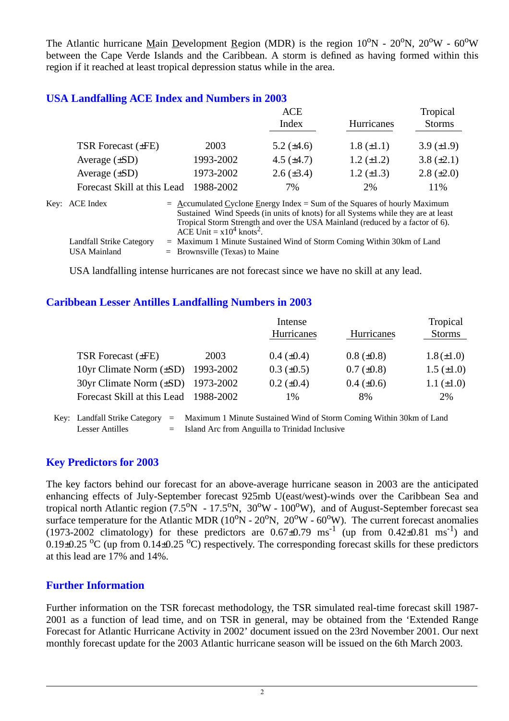The Atlantic hurricane Main Development Region (MDR) is the region  $10^{\circ}N - 20^{\circ}N$ ,  $20^{\circ}W - 60^{\circ}W$ between the Cape Verde Islands and the Caribbean. A storm is defined as having formed within this region if it reached at least tropical depression status while in the area.

#### **USA Landfalling ACE Index and Numbers in 2003**

|                             |           | ACE             | Tropical          |                 |
|-----------------------------|-----------|-----------------|-------------------|-----------------|
|                             |           | Index           | Hurricanes        | <b>Storms</b>   |
| TSR Forecast $(\pm FE)$     | 2003      | 5.2 $(\pm 4.6)$ | $1.8 (\pm 1.1)$   | 3.9 $(\pm 1.9)$ |
| Average $(\pm SD)$          | 1993-2002 | 4.5 $(\pm 4.7)$ | $1.2 \ (\pm 1.2)$ | 3.8 $(\pm 2.1)$ |
| Average $(\pm SD)$          | 1973-2002 | $2.6 (\pm 3.4)$ | $1.2 \ (\pm 1.3)$ | $2.8 (\pm 2.0)$ |
| Forecast Skill at this Lead | 1988-2002 | 7%              | 2%                | 11%             |
|                             |           |                 |                   |                 |

| Key: ACE Index           | $=$ Accumulated Cyclone Energy Index $=$ Sum of the Squares of hourly Maximum     |
|--------------------------|-----------------------------------------------------------------------------------|
|                          | Sustained Wind Speeds (in units of knots) for all Systems while they are at least |
|                          | Tropical Storm Strength and over the USA Mainland (reduced by a factor of 6).     |
|                          | ACE Unit = $x10^4$ knots <sup>2</sup> .                                           |
| Landfall Strike Category | $=$ Maximum 1 Minute Sustained Wind of Storm Coming Within 30km of Land           |
| USA Mainland             | $=$ Brownsville (Texas) to Maine                                                  |

USA landfalling intense hurricanes are not forecast since we have no skill at any lead.

#### **Caribbean Lesser Antilles Landfalling Numbers in 2003**

|                                          | Intense           |                   | Tropical          |
|------------------------------------------|-------------------|-------------------|-------------------|
|                                          | Hurricanes        | <b>Hurricanes</b> | <b>Storms</b>     |
|                                          |                   |                   |                   |
|                                          |                   |                   | $1.8 (\pm 1.0)$   |
| 10yr Climate Norm $(\pm SD)$ 1993-2002   | $0.3 \ (\pm 0.5)$ | $0.7 (\pm 0.8)$   | $1.5 \ (\pm 1.0)$ |
| $30yr$ Climate Norm $(\pm SD)$ 1973-2002 | $0.2 \ (\pm 0.4)$ | $0.4 \ (\pm 0.6)$ | $1.1 (\pm 1.0)$   |
| Forecast Skill at this Lead 1988-2002    | 1%                | 8%                | 2%                |
|                                          | 2003              | $0.4~(\pm 0.4)$   | $0.8 (\pm 0.8)$   |

Key: Landfall Strike Category = Maximum 1 Minute Sustained Wind of Storm Coming Within 30km of Land Lesser Antilles  $=$  Island Arc from Anguilla to Trinidad Inclusive

#### **Key Predictors for 2003**

The key factors behind our forecast for an above-average hurricane season in 2003 are the anticipated enhancing effects of July-September forecast 925mb U(east/west)-winds over the Caribbean Sea and tropical north Atlantic region  $(7.5^{\circ}N - 17.5^{\circ}N, 30^{\circ}W - 100^{\circ}W)$ , and of August-September forecast sea surface temperature for the Atlantic MDR ( $10^{\circ}N - 20^{\circ}N$ ,  $20^{\circ}W - 60^{\circ}W$ ). The current forecast anomalies (1973-2002 climatology) for these predictors are  $0.67\pm0.79$  ms<sup>-1</sup> (up from  $0.42\pm0.81$  ms<sup>-1</sup>) and 0.19 $\pm$ 0.25 <sup>o</sup>C (up from 0.14 $\pm$ 0.25 <sup>o</sup>C) respectively. The corresponding forecast skills for these predictors at this lead are 17% and 14%.

#### **Further Information**

Further information on the TSR forecast methodology, the TSR simulated real-time forecast skill 1987- 2001 as a function of lead time, and on TSR in general, may be obtained from the 'Extended Range Forecast for Atlantic Hurricane Activity in 2002' document issued on the 23rd November 2001. Our next monthly forecast update for the 2003 Atlantic hurricane season will be issued on the 6th March 2003.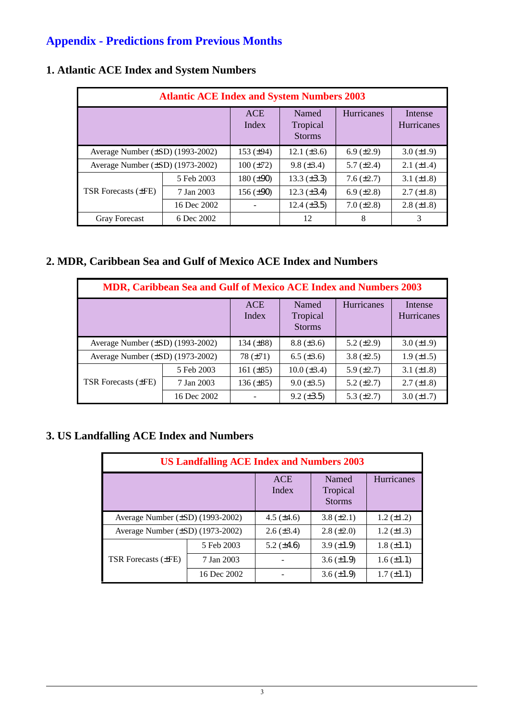# **Appendix - Predictions from Previous Months**

| <b>Atlantic ACE Index and System Numbers 2003</b> |             |                     |                                    |                    |                              |  |
|---------------------------------------------------|-------------|---------------------|------------------------------------|--------------------|------------------------------|--|
|                                                   |             | <b>ACE</b><br>Index | Named<br>Tropical<br><b>Storms</b> | <b>Hurricanes</b>  | Intense<br><b>Hurricanes</b> |  |
| Average Number $(\pm SD)$ (1993-2002)             |             | 153 $(\pm 94)$      | 12.1 $(\pm 3.6)$                   | 6.9 $(\pm 2.9)$    | $3.0 \ (\pm 1.9)$            |  |
| Average Number $(\pm SD)$ (1973-2002)             |             | $100 (\pm 72)$      | $9.8 \ (\pm 3.4)$                  | 5.7 $(\pm 2.4)$    | $2.1 (\pm 1.4)$              |  |
|                                                   | 5 Feb 2003  | 180 $(\pm 90)$      | 13.3 $(\pm 3.3)$                   | $7.6 \, (\pm 2.7)$ | 3.1 $(\pm 1.8)$              |  |
| <b>TSR Forecasts (±FE)</b>                        | 7 Jan 2003  | 156 $(\pm 90)$      | $12.3 \ (\pm 3.4)$                 | 6.9 $(\pm 2.8)$    | $2.7 (\pm 1.8)$              |  |
|                                                   | 16 Dec 2002 |                     | $12.4 (\pm 3.5)$                   | $7.0 (\pm 2.8)$    | $2.8 (\pm 1.8)$              |  |
| <b>Gray Forecast</b>                              | 6 Dec 2002  |                     | 12                                 | 8                  | 3                            |  |

## **1. Atlantic ACE Index and System Numbers**

## **2. MDR, Caribbean Sea and Gulf of Mexico ACE Index and Numbers**

| <b>MDR, Caribbean Sea and Gulf of Mexico ACE Index and Numbers 2003</b> |             |                     |                                    |                 |                       |  |  |
|-------------------------------------------------------------------------|-------------|---------------------|------------------------------------|-----------------|-----------------------|--|--|
|                                                                         |             | <b>ACE</b><br>Index | Named<br>Tropical<br><b>Storms</b> | Hurricanes      | Intense<br>Hurricanes |  |  |
| Average Number $(\pm SD)$ (1993-2002)                                   |             | 134 $(\pm 88)$      | $8.8 (\pm 3.6)$                    | 5.2 $(\pm 2.9)$ | $3.0 \ (\pm 1.9)$     |  |  |
| Average Number $(\pm SD)$ (1973-2002)                                   |             | 78 $(\pm 71)$       | $6.5 (\pm 3.6)$                    | $3.8 (\pm 2.5)$ | $1.9 \ (\pm 1.5)$     |  |  |
|                                                                         | 5 Feb 2003  | 161 $(\pm 85)$      | $10.0 (\pm 3.4)$                   | 5.9 $(\pm 2.7)$ | 3.1 $(\pm 1.8)$       |  |  |
| <b>TSR Forecasts (±FE)</b>                                              | 7 Jan 2003  | $136 (\pm 85)$      | $9.0 \ (\pm 3.5)$                  | 5.2 $(\pm 2.7)$ | $2.7 (\pm 1.8)$       |  |  |
|                                                                         | 16 Dec 2002 |                     | $9.2 (\pm 3.5)$                    | 5.3 $(\pm 2.7)$ | $3.0 (\pm 1.7)$       |  |  |

### **3. US Landfalling ACE Index and Numbers**

| <b>US Landfalling ACE Index and Numbers 2003</b> |                     |                                    |                   |                 |  |  |  |
|--------------------------------------------------|---------------------|------------------------------------|-------------------|-----------------|--|--|--|
|                                                  | <b>ACE</b><br>Index | Named<br>Tropical<br><b>Storms</b> | Hurricanes        |                 |  |  |  |
| Average Number (±SD) (1993-2002)                 |                     | $4.5 \ (\pm 4.6)$                  | $3.8 (\pm 2.1)$   | $1.2 (\pm 1.2)$ |  |  |  |
| Average Number $(\pm SD)$ (1973-2002)            |                     | $2.6 (\pm 3.4)$                    | $2.8 \ (\pm 2.0)$ | 1.2 $(\pm 1.3)$ |  |  |  |
|                                                  | 5 Feb 2003          | $5.2 \ (\pm 4.6)$                  | $3.9 \ (\pm 1.9)$ | $1.8 (\pm 1.1)$ |  |  |  |
| TSR Forecasts (±FE)                              | 7 Jan 2003          |                                    | $3.6 \ (\pm 1.9)$ | $1.6 (\pm 1.1)$ |  |  |  |
|                                                  | 16 Dec 2002         |                                    | $3.6 (\pm 1.9)$   | $1.7 (\pm 1.1)$ |  |  |  |